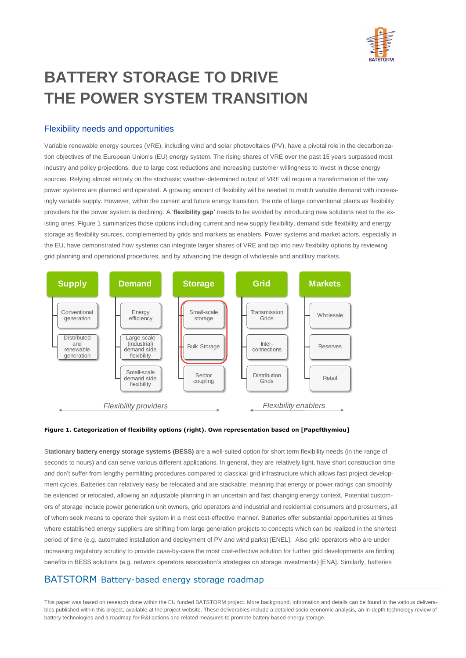

# **BATTERY STORAGE TO DRIVE THE POWER SYSTEM TRANSITION**

## Flexibility needs and opportunities

Variable renewable energy sources (VRE), including wind and solar photovoltaics (PV), have a pivotal role in the decarbonization objectives of the European Union's (EU) energy system. The rising shares of VRE over the past 15 years surpassed most industry and policy projections, due to large cost reductions and increasing customer willingness to invest in those energy sources. Relying almost entirely on the stochastic weather-determined output of VRE will require a transformation of the way power systems are planned and operated. A growing amount of flexibility will be needed to match variable demand with increasingly variable supply. However, within the current and future energy transition, the role of large conventional plants as flexibility providers for the power system is declining. A '**flexibility gap'** needs to be avoided by introducing new solutions next to the existing ones[. Figure 1](#page-0-0) summarizes those options including current and new supply flexibility, demand side flexibility and energy storage as flexibility sources, complemented by grids and markets as enablers. Power systems and market actors, especially in the EU, have demonstrated how systems can integrate larger shares of VRE and tap into new flexibility options by reviewing grid planning and operational procedures, and by advancing the design of wholesale and ancillary markets.



#### <span id="page-0-0"></span>**Figure 1. Categorization of flexibility options (right). Own representation based on [Papefthymiou]**

S**tationary battery energy storage systems (BESS)** are a well-suited option for short term flexibility needs (in the range of seconds to hours) and can serve various different applications. In general, they are relatively light, have short construction time and don't suffer from lengthy permitting procedures compared to classical grid infrastructure which allows fast project development cycles. Batteries can relatively easy be relocated and are stackable, meaning that energy or power ratings can smoothly be extended or relocated, allowing an adjustable planning in an uncertain and fast changing energy context. Potential customers of storage include power generation unit owners, grid operators and industrial and residential consumers and prosumers, all of whom seek means to operate their system in a most cost-effective manner. Batteries offer substantial opportunities at times where established energy suppliers are shifting from large generation projects to concepts which can be realized in the shortest period of time (e.g. automated installation and deployment of PV and wind parks) [ENEL]. Also grid operators who are under increasing regulatory scrutiny to provide case-by-case the most cost-effective solution for further grid developments are finding benefits in BESS solutions (e.g. network operators association's strategies on storage investments) [ENA]. Similarly, batteries

## BATSTORM Battery-based energy storage roadmap

This paper was based on research done within the EU funded BATSTORM project. More background, information and details can be found in the various deliverables published within this project, available at the project website. These deliverables include a detailed socio-economic analysis, an in-depth technology review of battery technologies and a roadmap for R&I actions and related measures to promote battery based energy storage.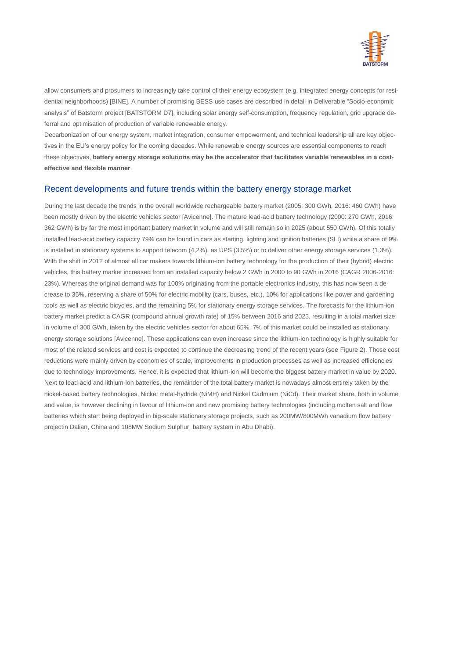

allow consumers and prosumers to increasingly take control of their energy ecosystem (e.g. integrated energy concepts for residential neighborhoods) [BINE]. A number of promising BESS use cases are described in detail in Deliverable "Socio-economic analysis" of Batstorm project [BATSTORM D7], including solar energy self-consumption, frequency regulation, grid upgrade deferral and optimisation of production of variable renewable energy.

Decarbonization of our energy system, market integration, consumer empowerment, and technical leadership all are key objectives in the EU's energy policy for the coming decades. While renewable energy sources are essential components to reach these objectives, **battery energy storage solutions may be the accelerator that facilitates variable renewables in a costeffective and flexible manner**.

### Recent developments and future trends within the battery energy storage market

During the last decade the trends in the overall worldwide rechargeable battery market (2005: 300 GWh, 2016: 460 GWh) have been mostly driven by the electric vehicles sector [Avicenne]. The mature lead-acid battery technology (2000: 270 GWh, 2016: 362 GWh) is by far the most important battery market in volume and will still remain so in 2025 (about 550 GWh). Of this totally installed lead-acid battery capacity 79% can be found in cars as starting, lighting and ignition batteries (SLI) while a share of 9% is installed in stationary systems to support telecom (4,2%), as UPS (3,5%) or to deliver other energy storage services (1,3%). With the shift in 2012 of almost all car makers towards lithium-ion battery technology for the production of their (hybrid) electric vehicles, this battery market increased from an installed capacity below 2 GWh in 2000 to 90 GWh in 2016 (CAGR 2006-2016: 23%). Whereas the original demand was for 100% originating from the portable electronics industry, this has now seen a decrease to 35%, reserving a share of 50% for electric mobility (cars, buses, etc.), 10% for applications like power and gardening tools as well as electric bicycles, and the remaining 5% for stationary energy storage services. The forecasts for the lithium-ion battery market predict a CAGR (compound annual growth rate) of 15% between 2016 and 2025, resulting in a total market size in volume of 300 GWh, taken by the electric vehicles sector for about 65%. 7% of this market could be installed as stationary energy storage solutions [Avicenne]. These applications can even increase since the lithium-ion technology is highly suitable for most of the related services and cost is expected to continue the decreasing trend of the recent years (se[e Figure 2\)](#page-2-0). Those cost reductions were mainly driven by economies of scale, improvements in production processes as well as increased efficiencies due to technology improvements. Hence, it is expected that lithium-ion will become the biggest battery market in value by 2020. Next to lead-acid and lithium-ion batteries, the remainder of the total battery market is nowadays almost entirely taken by the nickel-based battery technologies, Nickel metal-hydride (NiMH) and Nickel Cadmium (NiCd). Their market share, both in volume and value, is however declining in favour of lithium-ion and new promising battery technologies (including.molten salt and flow batteries which start being deployed in big-scale stationary storage projects, such as 200MW/800MWh vanadium flow battery projectin Dalian, China and 108MW Sodium Sulphur battery system in Abu Dhabi).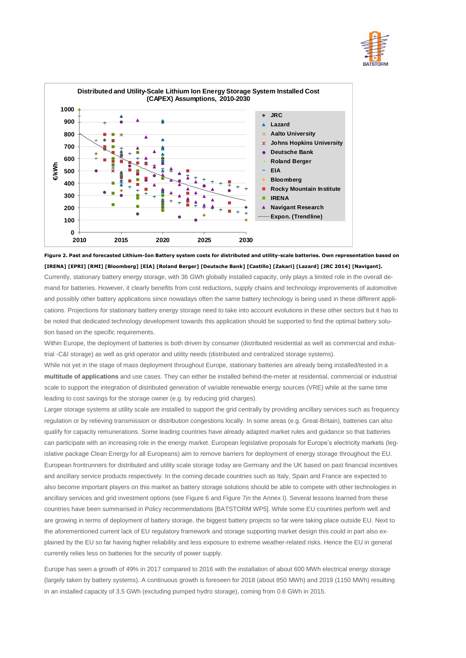



<span id="page-2-0"></span>**Figure 2. Past and forecasted Lithium-Ion Battery system costs for distributed and utility-scale batteries. Own representation based on [IRENA] [EPRI] [RMI] [Bloomberg] [EIA] [Roland Berger] [Deutsche Bank] [Castillo] [Zakari] [Lazard] [JRC 2014] [Navigant].** 

Currently, stationary battery energy storage, with 36 GWh globally installed capacity, only plays a limited role in the overall demand for batteries. However, it clearly benefits from cost reductions, supply chains and technology improvements of automotive and possibly other battery applications since nowadays often the same battery technology is being used in these different applications. Projections for stationary battery energy storage need to take into account evolutions in these other sectors but it has to be noted that dedicated technology development towards this application should be supported to find the optimal battery solution based on the specific requirements.

Within Europe, the deployment of batteries is both driven by consumer (distributed residential as well as commercial and industrial -C&I storage) as well as grid operator and utility needs (distributed and centralized storage systems).

While not yet in the stage of mass deployment throughout Europe, stationary batteries are already being installed/tested in a **multitude of applications** and use cases. They can either be installed behind-the-meter at residential, commercial or industrial scale to support the integration of distributed generation of variable renewable energy sources (VRE) while at the same time leading to cost savings for the storage owner (e.g. by reducing grid charges).

Larger storage systems at utility scale are installed to support the grid centrally by providing ancillary services such as frequency regulation or by relieving transmission or distribution congestions locally. In some areas (e.g. Great-Britain), batteries can also qualify for capacity remunerations. Some leading countries have already adapted market rules and guidance so that batteries can participate with an increasing role in the energy market. European legislative proposals for Europe's electricity markets (legislative package Clean Energy for all Europeans) aim to remove barriers for deployment of energy storage throughout the EU. European frontrunners for distributed and utility scale storage today are Germany and the UK based on past financial incentives and ancillary service products respectively. In the coming decade countries such as Italy, Spain and France are expected to also become important players on this market as battery storage solutions should be able to compete with other technologies in ancillary services and grid investment options (see [Figure 6](#page-10-0) and [Figure 7i](#page-10-1)n the Annex I). Several lessons learned from these countries have been summarised in Policy recommendations [BATSTORM WP5]. While some EU countries perform well and are growing in terms of deployment of battery storage, the biggest battery projects so far were taking place outside EU. Next to the aforementioned current lack of EU regulatory framework and storage supporting market design this could in part also explained by the EU so far having higher reliability and less exposure to extreme weather-related risks. Hence the EU in general currently relies less on batteries for the security of power supply.

Europe has seen a growth of 49% in 2017 compared to 2016 with the installation of about 600 MWh electrical energy storage (largely taken by battery systems). A continuous growth is foreseen for 2018 (about 850 MWh) and 2019 (1150 MWh) resulting in an installed capacity of 3.5 GWh (excluding pumped hydro storage), coming from 0.6 GWh in 2015.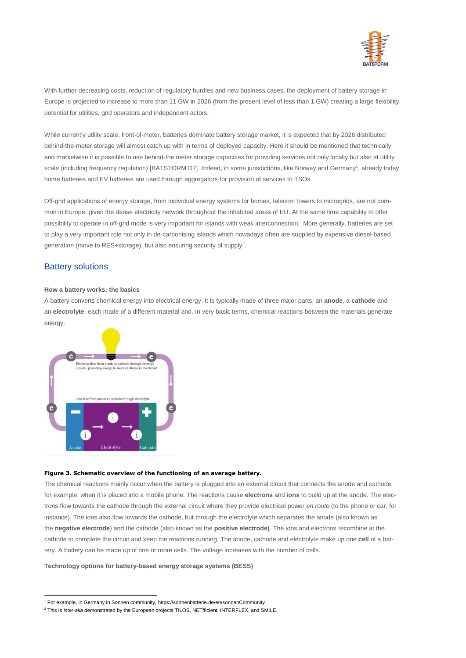

With further decreasing costs, reduction of regulatory hurdles and new business cases, the deployment of battery storage in Europe is projected to increase to more than 11 GW in 2026 (from the present level of less than 1 GW) creating a large flexibility potential for utilities, grid operators and independent actors.

While currently utility scale, front-of-meter, batteries dominate battery storage market, it is expected that by 2026 distributed behind-the-meter storage will almost catch up with in terms of deployed capacity. Here it should be mentioned that technically and marketwise it is possible to use behind-the meter storage capacities for providing services not only locally but also at utility scale (including frequency regulation) [BATSTORM D7]. Indeed, in some jurisdictions, like Norway and Germany<sup>1</sup>, already today home batteries and EV batteries are used through aggregators for provision of services to TSOs.

Off-grid applications of energy storage, from individual energy systems for homes, telecom towers to microgrids, are not common in Europe, given the dense electricity network throughout the inhabited areas of EU. At the same time capability to offer possibility to operate in off-grid mode is very important for islands with weak interconnection. More generally, batteries are set to play a very important role not only in de-carbonising islands which nowadays often are supplied by expensive diesel-based generation (move to RES+storage), but also ensuring security of supply<sup>2</sup>.

## Battery solutions

 $\overline{a}$ 

#### **How a battery works: the basics**

A battery converts chemical energy into electrical energy. It is typically made of three major parts: an **anode**, a **cathode** and an **electrolyte**, each made of a different material and. In very basic terms, chemical reactions between the materials generate energy



#### **Figure 3. Schematic overview of the functioning of an average battery.**

The chemical reactions mainly occur when the battery is plugged into an external circuit that connects the anode and cathode, for example, when it is placed into a mobile phone. The reactions cause **electrons** and **ions** to build up at the anode. The electrons flow towards the cathode through the external circuit where they provide electrical power *en route* (to the phone or car, for instance). The ions also flow towards the cathode, but through the electrolyte which separates the anode (also known as the **negative electrode**) and the cathode (also known as the **positive electrode)**. The ions and electrons recombine at the cathode to complete the circuit and keep the reactions running. The anode, cathode and electrolyte make up one **cell** of a battery. A battery can be made up of one or more cells. The voltage increases with the number of cells.

#### **Technology options for battery-based energy storage systems (BESS)**

<sup>1</sup> For example, in Germany in Sonnen community, https://sonnenbatterie.de/en/sonnenCommunity

<sup>2</sup> This is *inter-alia* demonstrated by the European projects TILOS, NETfficient, INTERFLEX, and SMILE.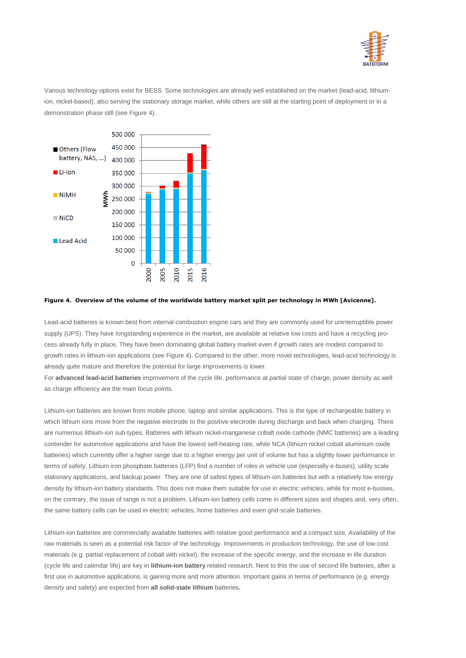

Various technology options exist for BESS. Some technologies are already well established on the market (lead-acid, lithiumion, nickel-based), also serving the stationary storage market, while others are still at the starting point of deployment or in a demonstration phase still (see [Figure 4\)](#page-4-0).



#### <span id="page-4-0"></span>**Figure 4. Overview of the volume of the worldwide battery market split per technology in MWh [Avicenne].**

Lead-acid batteries is known best from internal combustion engine cars and they are commonly used for uninterruptible power supply (UPS). They have longstanding experience in the market, are available at relative low costs and have a recycling process already fully in place. They have been dominating global battery market even if growth rates are modest compared to growth rates in lithium-ion applications (see [Figure 4\)](#page-4-0). Compared to the other, more novel technologies, lead-acid technology is already quite mature and therefore the potential for large improvements is lower.

For **advanced lead-acid batteries** improvement of the cycle life, performance at partial state of charge, power density as well as charge efficiency are the main focus points.

Lithium-ion batteries are known from mobile phone, laptop and similar applications. This is the type o[f rechargeable battery](https://en.wikipedia.org/wiki/Rechargeable_battery) in whic[h lithium](https://en.wikipedia.org/wiki/Lithium) [ions](https://en.wikipedia.org/wiki/Ion) move from the negativ[e electrode](https://en.wikipedia.org/wiki/Electrode) to the positive electrode during discharge and back when charging. There are numerous lithium-ion sub-types. Batteries with lithium nickel-manganese cobalt oxide cathode (NMC batteries) are a leading contender for automotive applications and have the lowest self-heating rate, while NCA (lithium nickel cobalt aluminium oxide batteries) which currently offer a higher range due to a higher energy per unit of volume but has a slightly lower performance in terms of safety. Lithium iron phosphate batteries (LFP) find a number of roles in vehicle use (especially e-buses), utility scale stationary applications, and backup power. They are one of safest types of lithium-ion batteries but with a relatively low energy density by lithium-ion battery standards. This does not make them suitable for use in electric vehicles, while for most e-busses, on the contrary, the issue of range is not a problem. Lithium-ion battery cells come in different sizes and shapes and, very often, the same battery cells can be used in electric vehicles, home batteries and even grid-scale batteries.

Lithium-ion batteries are commercially available batteries with relative good performance and a compact size. Availability of the raw materials is seen as a potential risk factor of the technology. Improvements in production technology, the use of low cost materials (e.g. partial replacement of cobalt with nickel), the increase of the specific energy, and the increase in life duration (cycle life and calendar life) are key in **lithium-ion battery** related research. Next to this the use of second life batteries, after a first use in automotive applications, is gaining more and more attention. Important gains in terms of performance (e.g. energy density and safety) are expected from **all solid-state lithium** batteries**.**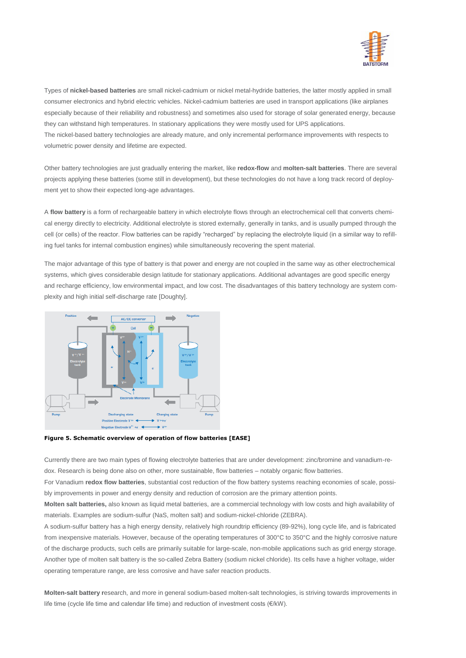

Types of **nickel-based batteries** are small nickel-cadmium or nickel metal-hydride batteries, the latter mostly applied in small consumer electronics and hybrid electric vehicles. Nickel-cadmium batteries are used in transport applications (like airplanes especially because of their reliability and robustness) and sometimes also used for storage of solar generated energy, because they can withstand high temperatures. In stationary applications they were mostly used for UPS applications. The nickel-based battery technologies are already mature, and only incremental performance improvements with respects to volumetric power density and lifetime are expected.

Other battery technologies are just gradually entering the market, like **redox-flow** and **molten-salt batteries**. There are several projects applying these batteries (some still in development), but these technologies do not have a long track record of deployment yet to show their expected long-age advantages.

A **flow battery** is a form of rechargeable battery in which electrolyte flows through an electrochemical cell that converts chemical energy directly to electricity. Additional electrolyte is stored externally, generally in tanks, and is usually pumped through the cell (or cells) of the reactor. Flow batteries can be rapidly "recharged" by replacing the electrolyte liquid (in a similar way to refilling fuel tanks for internal combustion engines) while simultaneously recovering the spent material.

The major advantage of this type of battery is that power and energy are not coupled in the same way as other electrochemical systems, which gives considerable design latitude for stationary applications. Additional advantages are good specific energy and recharge efficiency, low environmental impact, and low cost. The disadvantages of this battery technology are system complexity and high initial self-discharge rate [Doughty].



**Figure 5. Schematic overview of operation of flow batteries [EASE]**

Currently there are two main types of flowing electrolyte batteries that are under development: zinc/bromine and vanadium-redox. Research is being done also on other, more sustainable, flow batteries – notably organic flow batteries.

For Vanadium **redox flow batteries**, substantial cost reduction of the flow battery systems reaching economies of scale, possibly improvements in power and energy density and reduction of corrosion are the primary attention points.

**Molten salt batteries,** also known as liquid metal batteries, are a commercial technology with low costs and high availability of materials. Examples are sodium-sulfur (NaS, molten salt) and sodium-nickel-chloride (ZEBRA).

A sodium-sulfur battery has a high energy density, relatively high roundtrip efficiency (89-92%), long cycle life, and is fabricated from inexpensive materials. However, because of the operating temperatures of 300°C to 350°C and the highly corrosive nature of the discharge products, such cells are primarily suitable for large-scale, non-mobile applications such as grid energy storage. Another type of molten salt battery is the so-called Zebra Battery (sodium nickel chloride). Its cells have a higher voltage, wider operating temperature range, are less corrosive and have safer reaction products.

**Molten-salt battery r**esearch, and more in general sodium-based molten-salt technologies, is striving towards improvements in life time (cycle life time and calendar life time) and reduction of investment costs (€/kW).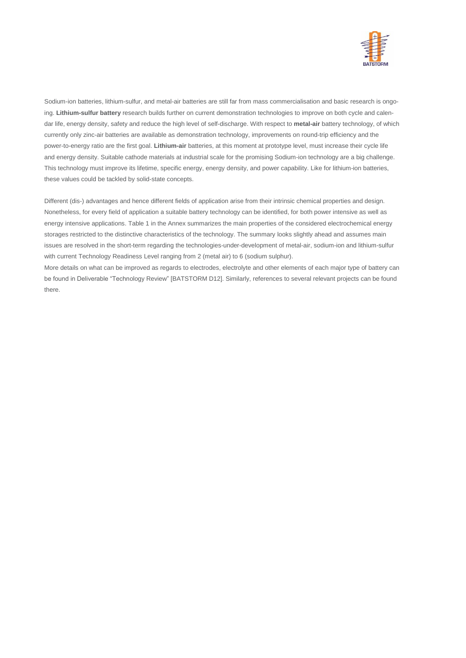

Sodium-ion batteries, lithium-sulfur, and metal-air batteries are still far from mass commercialisation and basic research is ongoing. **Lithium-sulfur battery** research builds further on current demonstration technologies to improve on both cycle and calendar life, energy density, safety and reduce the high level of self-discharge. With respect to **metal-air** battery technology, of which currently only zinc-air batteries are available as demonstration technology, improvements on round-trip efficiency and the power-to-energy ratio are the first goal. **Lithium-air** batteries, at this moment at prototype level, must increase their cycle life and energy density. Suitable cathode materials at industrial scale for the promising Sodium-ion technology are a big challenge. This technology must improve its lifetime, specific energy, energy density, and power capability. Like for lithium-ion batteries, these values could be tackled by solid-state concepts.

Different (dis-) advantages and hence different fields of application arise from their intrinsic chemical properties and design. Nonetheless, for every field of application a suitable battery technology can be identified, for both power intensive as well as energy intensive applications. [Table 1](#page-11-0) in the Annex summarizes the main properties of the considered electrochemical energy storages restricted to the distinctive characteristics of the technology. The summary looks slightly ahead and assumes main issues are resolved in the short-term regarding the technologies-under-development of metal-air, sodium-ion and lithium-sulfur with current Technology Readiness Level ranging from 2 (metal air) to 6 (sodium sulphur).

More details on what can be improved as regards to electrodes, electrolyte and other elements of each major type of battery can be found in Deliverable "Technology Review" [BATSTORM D12]. Similarly, references to several relevant projects can be found there.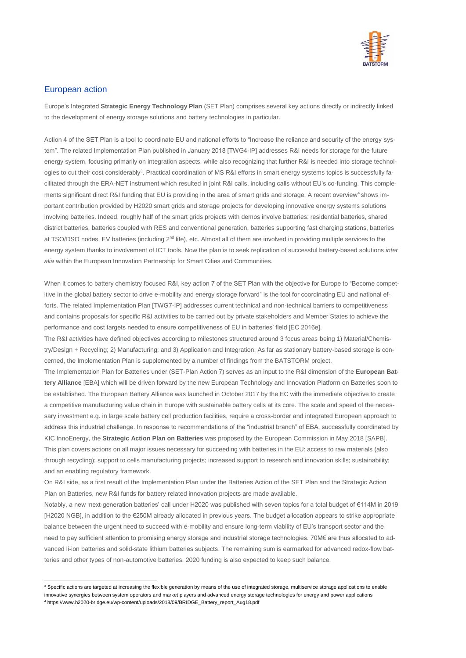

## European action

Europe's Integrated **Strategic Energy Technology Plan** (SET Plan) comprises several key actions directly or indirectly linked to the development of energy storage solutions and battery technologies in particular.

Action 4 of the SET Plan is a tool to coordinate EU and national efforts to "Increase the reliance and security of the energy system". The related Implementation Plan published in January 2018 [TWG4-IP] addresses R&I needs for storage for the future energy system, focusing primarily on integration aspects, while also recognizing that further R&I is needed into storage technologies to cut their cost considerably<sup>3</sup>. Practical coordination of MS R&I efforts in smart energy systems topics is successfully facilitated through the ERA-NET instrument which resulted in joint R&I calls, including calls without EU's co-funding. This complements significant direct R&I funding that EU is providing in the area of smart grids and storage. A recent overview<sup>4</sup> shows important contribution provided by H2020 smart grids and storage projects for developing innovative energy systems solutions involving batteries. Indeed, roughly half of the smart grids projects with demos involve batteries: residential batteries, shared district batteries, batteries coupled with RES and conventional generation, batteries supporting fast charging stations, batteries at TSO/DSO nodes, EV batteries (including 2<sup>nd</sup> life), etc. Almost all of them are involved in providing multiple services to the energy system thanks to involvement of ICT tools. Now the plan is to seek replication of successful battery-based solutions *inter alia* within the European Innovation Partnership for Smart Cities and Communities.

When it comes to battery chemistry focused R&I, key action 7 of the SET Plan with the objective for Europe to "Become competitive in the global battery sector to drive e-mobility and energy storage forward" is the tool for coordinating EU and national efforts. The related Implementation Plan [TWG7-IP] addresses current technical and non-technical barriers to competitiveness and contains proposals for specific R&I activities to be carried out by private stakeholders and Member States to achieve the performance and cost targets needed to ensure competitiveness of EU in batteries' field [EC 2016e].

The R&I activities have defined objectives according to milestones structured around 3 focus areas being 1) Material/Chemistry/Design + Recycling; 2) Manufacturing; and 3) Application and Integration. As far as stationary battery-based storage is concerned, the Implementation Plan is supplemented by a number of findings from the BATSTORM project.

The Implementation Plan for Batteries under (SET-Plan Action 7) serves as an input to the R&I dimension of the **European Battery Alliance** [EBA] which will be driven forward by the new European Technology and Innovation Platform on Batteries soon to be established. The European Battery Alliance was launched in October 2017 by the EC with the immediate objective to create a competitive manufacturing value chain in Europe with sustainable battery cells at its core. The scale and speed of the necessary investment e.g. in large scale battery cell production facilities, require a cross-border and integrated European approach to address this industrial challenge. In response to recommendations of the "industrial branch" of EBA, successfully coordinated by KIC InnoEnergy, the **Strategic Action Plan on Batteries** was proposed by the European Commission in May 2018 [SAPB]. This plan covers actions on all major issues necessary for succeeding with batteries in the EU: access to raw materials (also through recycling); support to cells manufacturing projects; increased support to research and innovation skills; sustainability; and an enabling regulatory framework.

On R&I side, as a first result of the Implementation Plan under the Batteries Action of the SET Plan and the Strategic Action Plan on Batteries, new R&I funds for battery related innovation projects are made available.

Notably, a new 'next-generation batteries' call under H2020 was published with seven topics for a total budget of €114M in 2019 [H2020 NGB], in addition to the €250M already allocated in previous years. The budget allocation appears to strike appropriate balance between the urgent need to succeed with e-mobility and ensure long-term viability of EU's transport sector and the need to pay sufficient attention to promising energy storage and industrial storage technologies. 70M€ are thus allocated to advanced li-ion batteries and solid-state lithium batteries subjects. The remaining sum is earmarked for advanced redox-flow batteries and other types of non-automotive batteries. 2020 funding is also expected to keep such balance.

 $\overline{a}$ 

<sup>&</sup>lt;sup>3</sup> Specific actions are targeted at increasing the flexible generation by means of the use of integrated storage, multiservice storage applications to enable innovative synergies between system operators and market players and advanced energy storage technologies for energy and power applications

<sup>4</sup> https://www.h2020-bridge.eu/wp-content/uploads/2018/09/BRIDGE\_Battery\_report\_Aug18.pdf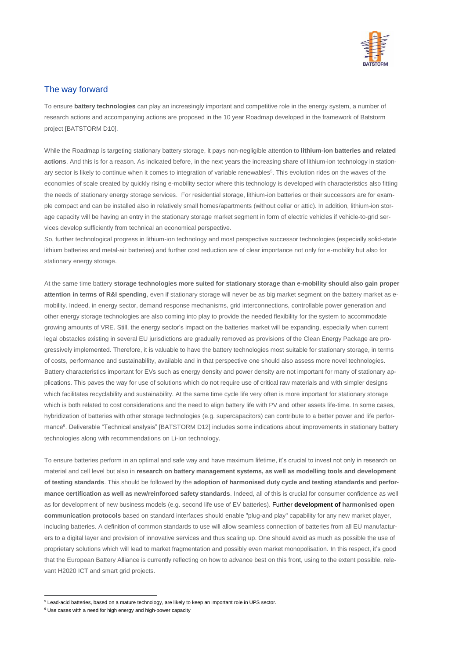

## The way forward

To ensure **battery technologies** can play an increasingly important and competitive role in the energy system, a number of research actions and accompanying actions are proposed in the 10 year Roadmap developed in the framework of Batstorm project [BATSTORM D10].

While the Roadmap is targeting stationary battery storage, it pays non-negligible attention to **lithium-ion batteries and related actions**. And this is for a reason. As indicated before, in the next years the increasing share of lithium-ion technology in stationary sector is likely to continue when it comes to integration of variable renewables<sup>5</sup>. This evolution rides on the waves of the economies of scale created by quickly rising e-mobility sector where this technology is developed with characteristics also fitting the needs of stationary energy storage services. For residential storage, lithium-ion batteries or their successors are for example compact and can be installed also in relatively small homes/apartments (without cellar or attic). In addition, lithium-ion storage capacity will be having an entry in the stationary storage market segment in form of electric vehicles if vehicle-to-grid services develop sufficiently from technical an economical perspective.

So, further technological progress in lithium-ion technology and most perspective successor technologies (especially solid-state lithium batteries and metal-air batteries) and further cost reduction are of clear importance not only for e-mobility but also for stationary energy storage.

At the same time battery **storage technologies more suited for stationary storage than e-mobility should also gain proper attention in terms of R&I spending**, even if stationary storage will never be as big market segment on the battery market as emobility. Indeed, in energy sector, demand response mechanisms, grid interconnections, controllable power generation and other energy storage technologies are also coming into play to provide the needed flexibility for the system to accommodate growing amounts of VRE. Still, the energy sector's impact on the batteries market will be expanding, especially when current legal obstacles existing in several EU jurisdictions are gradually removed as provisions of the Clean Energy Package are progressively implemented. Therefore, it is valuable to have the battery technologies most suitable for stationary storage, in terms of costs, performance and sustainability, available and in that perspective one should also assess more novel technologies. Battery characteristics important for EVs such as energy density and power density are not important for many of stationary applications. This paves the way for use of solutions which do not require use of critical raw materials and with simpler designs which facilitates recyclability and sustainability. At the same time cycle life very often is more important for stationary storage which is both related to cost considerations and the need to align battery life with PV and other assets life-time. In some cases, hybridization of batteries with other storage technologies (e.g. supercapacitors) can contribute to a better power and life performance<sup>6</sup>. Deliverable "Technical analysis" [BATSTORM D12] includes some indications about improvements in stationary battery technologies along with recommendations on Li-ion technology.

To ensure batteries perform in an optimal and safe way and have maximum lifetime, it's crucial to invest not only in research on material and cell level but also in **research on battery management systems, as well as modelling tools and development of testing standards**. This should be followed by the **adoption of harmonised duty cycle and testing standards and performance certification as well as new/reinforced safety standards**. Indeed, all of this is crucial for consumer confidence as well as for development of new business models (e.g. second life use of EV batteries). Further **development of harmonised open communication protocols** based on standard interfaces should enable "plug-and play" capability for any new market player, including batteries. A definition of common standards to use will allow seamless connection of batteries from all EU manufacturers to a digital layer and provision of innovative services and thus scaling up. One should avoid as much as possible the use of proprietary solutions which will lead to market fragmentation and possibly even market monopolisation. In this respect, it's good that the European Battery Alliance is currently reflecting on how to advance best on this front, using to the extent possible, relevant H2020 ICT and smart grid projects.

 $\overline{a}$ 

<sup>5</sup> Lead-acid batteries, based on a mature technology, are likely to keep an important role in UPS sector.

<sup>&</sup>lt;sup>6</sup> Use cases with a need for high energy and high-power capacity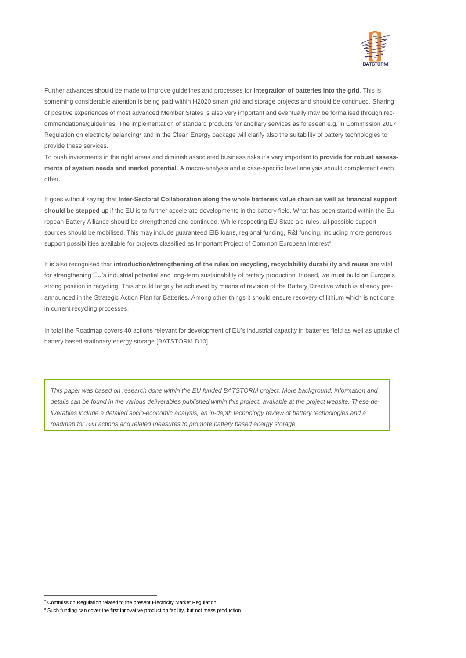

Further advances should be made to improve guidelines and processes for **integration of batteries into the grid**. This is something considerable attention is being paid within H2020 smart grid and storage projects and should be continued. Sharing of positive experiences of most advanced Member States is also very important and eventually may be formalised through recommendations/guidelines. The implementation of standard products for ancillary services as foreseen e.g. in Commission 2017 Regulation on electricity balancing<sup>7</sup> and in the Clean Energy package will clarify also the suitability of battery technologies to provide these services.

To push investments in the right areas and diminish associated business risks it's very important to **provide for robust assessments of system needs and market potential**. A macro-analysis and a case-specific level analysis should complement each other.

It goes without saying that **Inter-Sectoral Collaboration along the whole batteries value chain as well as financial support should be stepped** up if the EU is to further accelerate developments in the battery field. What has been started within the European Battery Alliance should be strengthened and continued. While respecting EU State aid rules, all possible support sources should be mobilised. This may include guaranteed EIB loans, regional funding, R&I funding, including more generous support possibilities available for projects classified as Important Project of Common European Interest<sup>8</sup>.

It is also recognised that **introduction/strengthening of the rules on recycling, recyclability durability and reuse** are vital for strengthening EU's industrial potential and long-term sustainability of battery production. Indeed, we must build on Europe's strong position in recycling. This should largely be achieved by means of revision of the Battery Directive which is already preannounced in the Strategic Action Plan for Batteries. Among other things it should ensure recovery of lithium which is not done in current recycling processes.

In total the Roadmap covers 40 actions relevant for development of EU's industrial capacity in batteries field as well as uptake of battery based stationary energy storage [BATSTORM D10].

*This paper was based on research done within the EU funded BATSTORM project. More background, information and details can be found in the various deliverables published within this project, available at the project website. These deliverables include a detailed socio-economic analysis, an in-depth technology review of battery technologies and a roadmap for R&I actions and related measures to promote battery based energy storage.* 

 $\overline{a}$ 

<sup>&</sup>lt;sup>7</sup> Commission Regulation related to the present Electricity Market Regulation.

<sup>&</sup>lt;sup>8</sup> Such funding can cover the first innovative production facility, but not mass production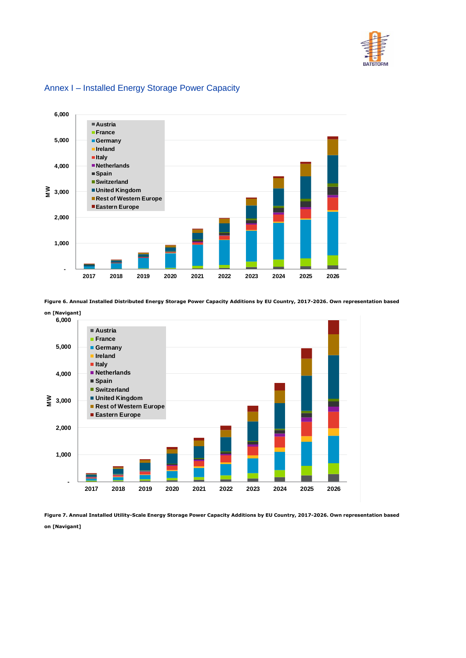



## Annex I – Installed Energy Storage Power Capacity

<span id="page-10-0"></span>Figure 6. Annual Installed Distributed Energy Storage Power Capacity Additions by EU Country, 2017-2026. Own representation based



<span id="page-10-1"></span>**Figure 7. Annual Installed Utility-Scale Energy Storage Power Capacity Additions by EU Country, 2017-2026. Own representation based on [Navigant]**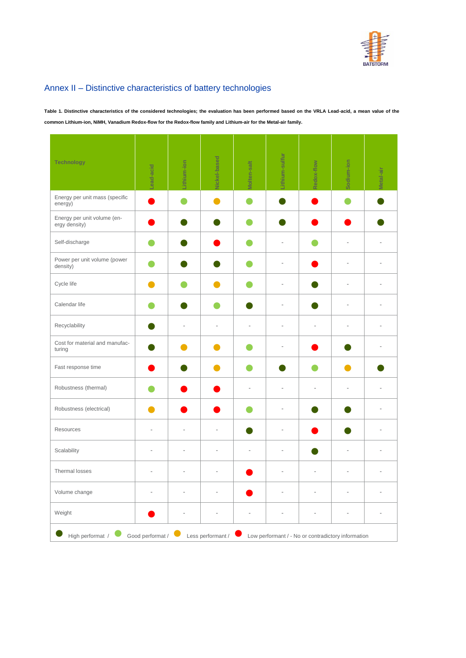

## Annex II – Distinctive characteristics of battery technologies

<span id="page-11-0"></span>**Table 1. Distinctive characteristics of the considered technologies; the evaluation has been performed based on the VRLA Lead-acid, a mean value of the common Lithium-ion, NiMH, Vanadium Redox-flow for the Redox-flow family and Lithium-air for the Metal-air family.** 

| <b>Technology</b>                                                                                               | Lead-acid | Lithium-ion | Nickel-based | <b>Nolten-salt</b>       | Lithium-sulfur | Redox-flow | Sodium-ion     | letal-air |
|-----------------------------------------------------------------------------------------------------------------|-----------|-------------|--------------|--------------------------|----------------|------------|----------------|-----------|
| Energy per unit mass (specific<br>energy)                                                                       |           |             |              |                          |                |            |                |           |
| Energy per unit volume (en-<br>ergy density)                                                                    |           |             |              |                          |                |            |                |           |
| Self-discharge                                                                                                  |           |             |              |                          | J.             |            | $\overline{a}$ |           |
| Power per unit volume (power<br>density)                                                                        |           |             |              |                          | ä,             |            | ä,             |           |
| Cycle life                                                                                                      |           |             |              |                          | ÷,             |            | i,             |           |
| Calendar life                                                                                                   |           |             |              |                          | ÷,             |            | Ĭ.             |           |
| Recyclability                                                                                                   |           | ÷.          | ÷.           | ÷                        | ÷.             | ä,         | ä,             | ÷.        |
| Cost for material and manufac-<br>turing                                                                        |           |             |              |                          | J.             |            |                | ä,        |
| Fast response time                                                                                              |           |             |              |                          |                |            |                |           |
| Robustness (thermal)                                                                                            |           |             |              | ÷,                       | ÷,             | ÷,         | $\overline{a}$ |           |
| Robustness (electrical)                                                                                         |           |             |              |                          | ä,             |            |                |           |
| Resources                                                                                                       | ÷,        | L,          |              |                          | Ĭ.             |            |                |           |
| Scalability                                                                                                     | ÷,        | L,          | L,           | ÷,                       | ÷,             |            | ÷,             |           |
| Thermal losses                                                                                                  | L.        | ä,          | ä,           |                          | ÷,             | L,         | ä,             | ÷.        |
| Volume change                                                                                                   | ÷,        | L,          | L,           |                          | J.             | J.         | L,             | ÷.        |
| Weight                                                                                                          |           | L           | L,           | $\overline{\phantom{a}}$ | ÷,             | ÷,         | L              |           |
| Good performat /<br>High performat /<br>Less performant /<br>Low performant / - No or contradictory information |           |             |              |                          |                |            |                |           |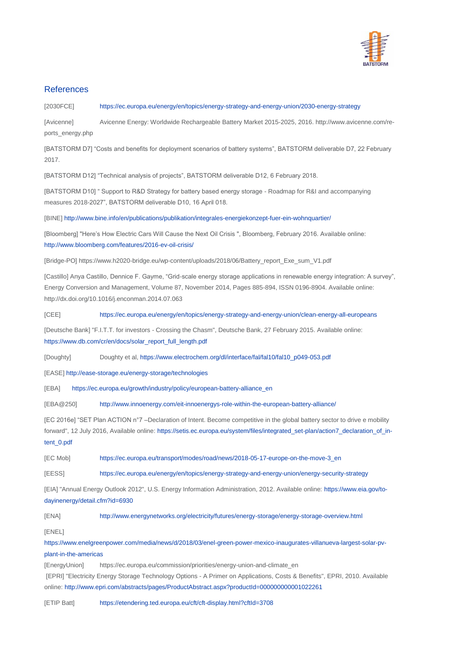

## **References**

[2030FCE] <https://ec.europa.eu/energy/en/topics/energy-strategy-and-energy-union/2030-energy-strategy>

[Avicenne] Avicenne Energy: Worldwide Rechargeable Battery Market 2015-2025, 2016. http://www.avicenne.com/reports\_energy.php

[BATSTORM D7] "Costs and benefits for deployment scenarios of battery systems", BATSTORM deliverable D7, 22 February 2017.

[BATSTORM D12] "Technical analysis of projects", BATSTORM deliverable D12, 6 February 2018.

[BATSTORM D10] " Support to R&D Strategy for battery based energy storage - Roadmap for R&I and accompanying measures 2018-2027", BATSTORM deliverable D10, 16 April 018.

[BINE]<http://www.bine.info/en/publications/publikation/integrales-energiekonzept-fuer-ein-wohnquartier/>

[Bloomberg] "Here's How Electric Cars Will Cause the Next Oil Crisis ", Bloomberg, February 2016. Available online: <http://www.bloomberg.com/features/2016-ev-oil-crisis/>

[Bridge-PO[\] https://www.h2020-bridge.eu/wp-content/uploads/2018/06/Battery\\_report\\_Exe\\_sum\\_V1.pdf](https://www.h2020-bridge.eu/wp-content/uploads/2018/06/Battery_report_Exe_sum_V1.pdf)

[Castillo] Anya Castillo, Dennice F. Gayme, "Grid-scale energy storage applications in renewable energy integration: A survey", Energy Conversion and Management, Volume 87, November 2014, Pages 885-894, ISSN 0196-8904. Available online: <http://dx.doi.org/10.1016/j.enconman.2014.07.063>

[CEE] <https://ec.europa.eu/energy/en/topics/energy-strategy-and-energy-union/clean-energy-all-europeans>

[Deutsche Bank] "F.I.T.T. for investors - Crossing the Chasm", Deutsche Bank, 27 February 2015. Available online: [https://www.db.com/cr/en/docs/solar\\_report\\_full\\_length.pdf](https://www.db.com/cr/en/docs/solar_report_full_length.pdf)

[Doughty] Doughty et al, [https://www.electrochem.org/dl/interface/fal/fal10/fal10\\_p049-053.pdf](https://www.electrochem.org/dl/interface/fal/fal10/fal10_p049-053.pdf)

[EASE[\] http://ease-storage.eu/energy-storage/technologies](http://ease-storage.eu/energy-storage/technologies)

[EBA] [https://ec.europa.eu/growth/industry/policy/european-battery-alliance\\_en](https://ec.europa.eu/growth/industry/policy/european-battery-alliance_en)

[EBA@250] <http://www.innoenergy.com/eit-innoenergys-role-within-the-european-battery-alliance/>

[EC 2016e] "SET Plan ACTION n°7 –Declaration of Intent. Become competitive in the global battery sector to drive e mobility forward", 12 July 2016, Available online: [https://setis.ec.europa.eu/system/files/integrated\\_set-plan/action7\\_declaration\\_of\\_in](https://setis.ec.europa.eu/system/files/integrated_set-plan/action7_declaration_of_intent_0.pdf)[tent\\_0.pdf](https://setis.ec.europa.eu/system/files/integrated_set-plan/action7_declaration_of_intent_0.pdf)

[EC Mob] [https://ec.europa.eu/transport/modes/road/news/2018-05-17-europe-on-the-move-3\\_en](https://ec.europa.eu/transport/modes/road/news/2018-05-17-europe-on-the-move-3_en)

[EESS] <https://ec.europa.eu/energy/en/topics/energy-strategy-and-energy-union/energy-security-strategy>

[EIA] "Annual Energy Outlook 2012", U.S. Energy Information Administration, 2012. Available online: [https://www.eia.gov/to](https://www.eia.gov/todayinenergy/detail.cfm?id=6930)[dayinenergy/detail.cfm?id=6930](https://www.eia.gov/todayinenergy/detail.cfm?id=6930)

[ENA] <http://www.energynetworks.org/electricity/futures/energy-storage/energy-storage-overview.html>

[ENEL]

[https://www.enelgreenpower.com/media/news/d/2018/03/enel-green-power-mexico-inaugurates-villanueva-largest-solar-pv](https://www.enelgreenpower.com/media/news/d/2018/03/enel-green-power-mexico-inaugurates-villanueva-largest-solar-pv-plant-in-the-americas)[plant-in-the-americas](https://www.enelgreenpower.com/media/news/d/2018/03/enel-green-power-mexico-inaugurates-villanueva-largest-solar-pv-plant-in-the-americas)

[EnergyUnion] [https://ec.europa.eu/commission/priorities/energy-union-and-climate\\_en](https://ec.europa.eu/commission/priorities/energy-union-and-climate_en) [EPRI] "Electricity Energy Storage Technology Options - A Primer on Applications, Costs & Benefits", EPRI, 2010. Available online[: http://www.epri.com/abstracts/pages/ProductAbstract.aspx?productId=000000000001022261](http://www.epri.com/abstracts/pages/ProductAbstract.aspx?productId=000000000001022261)

[ETIP Batt] <https://etendering.ted.europa.eu/cft/cft-display.html?cftId=3708>